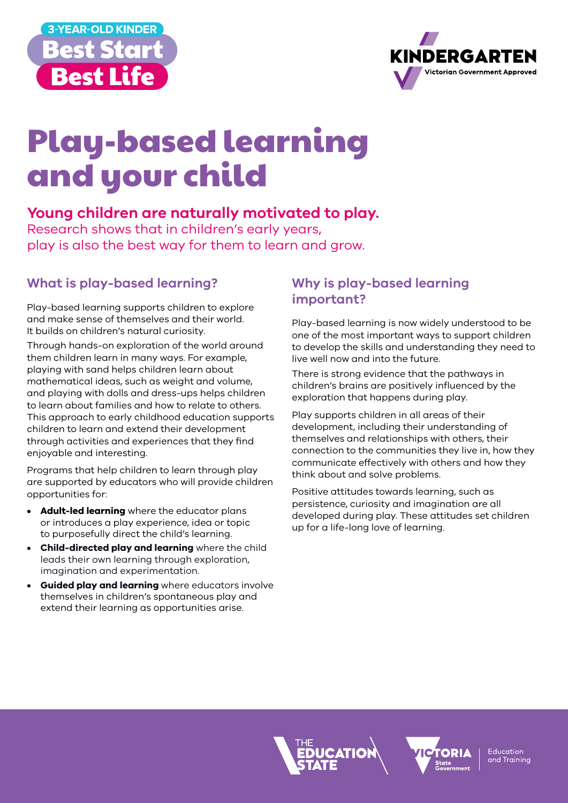



# Play-based learning and your child

## **Young children are naturally motivated to play.**

Research shows that in children's early years, play is also the best way for them to learn and grow.

### **What is play-based learning?**

Play-based learning supports children to explore and make sense of themselves and their world. It builds on children's natural curiosity.

Through hands-on exploration of the world around them children learn in many ways. For example, playing with sand helps children learn about mathematical ideas, such as weight and volume, and playing with dolls and dress-ups helps children to learn about families and how to relate to others. This approach to early childhood education supports children to learn and extend their development through activities and experiences that they find enjoyable and interesting.

Programs that help children to learn through play are supported by educators who will provide children opportunities for:

- **• Adult-led learning** where the educator plans or introduces a play experience, idea or topic to purposefully direct the child's learning.
- **• Child-directed play and learning** where the child leads their own learning through exploration, imagination and experimentation.
- **• Guided play and learning** where educators involve themselves in children's spontaneous play and extend their learning as opportunities arise.

## **Why is play-based learning important?**

Play-based learning is now widely understood to be one of the most important ways to support children to develop the skills and understanding they need to live well now and into the future.

There is strong evidence that the pathways in children's brains are positively influenced by the exploration that happens during play.

Play supports children in all areas of their development, including their understanding of themselves and relationships with others, their connection to the communities they live in, how they communicate effectively with others and how they think about and solve problems.

Positive attitudes towards learning, such as persistence, curiosity and imagination are all developed during play. These attitudes set children up for a life-long love of learning.